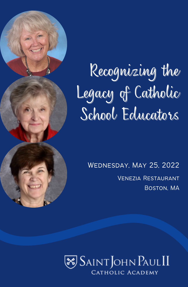

# Recognizing the Legacy of Catholic School Educators

Wednesday, May 25, 2022 Venezia Restaurant Boston, MA

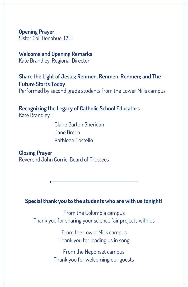**Opening Prayer** Sister Gail Donahue, CSJ

#### **Welcome and Opening Remarks** Kate Brandley, Regional Director

**Share the Light of Jesus; Renmen, Renmen, Renmen; and The Future Starts Today** Performed by second grade students from the Lower Mills campus

**Recognizing the Legacy of Catholic School Educators** Kate Brandley

> Claire Barton Sheridan Jane Breen Kathleen Costello

**Closing Prayer** Reverend John Currie, Board of Trustees

#### **Special thank you to the students who are with us tonight!**

From the Columbia campus Thank you for sharing your science fair projects with us

> From the Lower Mills campus Thank you for leading us in song

From the Neponset campus Thank you for welcoming our guests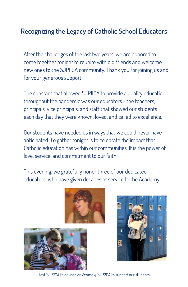#### **Recognizing the Legacy of Catholic School Educators**

After the challenges of the last two years, we are honored to come together tonight to reunite with old friends and welcome new ones to the SJPIICA community. Thank you for joining us and for your generous support.

The constant that allowed SJPIICA to provide a quality education throughout the pandemic was our educators - the teachers, principals, vice principals, and staff that showed our students each day that they were known, loved, and called to excellence.

Our students have needed us in ways that we could never have anticipated. To gather tonight is to celebrate the impact that Catholic education has within our communities, It is the power of love, service, and commitment to our faith.

This evening, we gratefully honor three of our dedicated educators, who have given decades of service to the Academy.







Text SJP2CA to 53-555 or Venmo @SJP2CA to support our students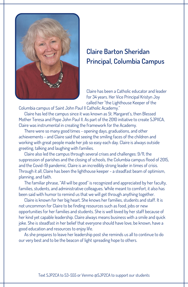

### **Claire Barton Sheridan Principal, Columbia Campus**

Claire has been a Catholic educator and leader for 34 years. Her Vice Principal Kristyn Joy called her "the Lighthouse Keeper of the

Columbia campus of Saint John Paul II Catholic Academy."

Claire has led the campus since it was known as St. Margaret's, then Blessed Mother Teresa and Pope John Paul II. As part of the 2010 initiative to create SJPIICA, Claire was instrumental in creating the framework for the Academy.

There were so many good times - opening days, graduations, and other achievements - and Claire said that seeing the smiling faces of the children and working with great people made her job so easy each day. Claire is always outside greeting, talking and laughing with families.

Claire also led the campus through several crises and challenges: 9/11, the suppression of parishes and the closing of schools, the Columbia campus flood of 2015, and the Covid-19 pandemic. Claire is an incredibly strong leader in times of crisis. Through it all, Claire has been the lighthouse keeper - a steadfast beam of optimism, planning, and faith.

The familiar phrase, "All will be good" is recognized and appreciated by her faculty, families, students, and administrative colleagues. While meant to comfort, it also has been said with humor to remind us that we will get through anything together.

Claire is known for her big heart. She knows her families, students and staff. It is not uncommon for Claire to be finding resources such as food, jobs or new opportunities for her families and students. She is well loved by her staff because of her kind yet capable leadership. Claire always means business with a smile and quick joke. She is steadfast in her belief that everyone should have love, be known, have a good education and resources to enjoy life.

As she prepares to leave her leadership post she reminds us all to continue to do our very best and to be the beacon of light spreading hope to others.

Text SJP2CA to 53-555 or Venmo @SJP2CA to support our students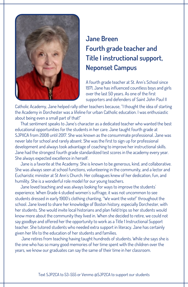

## **Jane Breen Fourth grade teacher and Title I instructional support, Neponset Campus**

A fourth grade teacher at St. Ann's School since 1971, Jane has influenced countless boys and girls over the last 50 years. As one of the first supporters and defenders of Saint John Paul II

Catholic Academy, Jane helped rally other teachers because, "I thought the idea of starting the Academy in Dorchester was a lifeline for urban Catholic education. I was enthusiastic about being even a small part of that!"

That sentiment speaks to Jane's character as a dedicated teacher who wanted the best educational opportunities for the students in her care. Jane taught fourth grade at SJPIICA from 2008 until 2017. She was known as the consummate professional. Jane was never late for school and rarely absent. She was the first to sign up for professional development and always took advantage of coaching to improve her instructional skills. Jane had the strongest fourth grade standardized test scores in the academy every year. She always expected excellence in herself.

Jane is a favorite at the Academy. She is known to be generous, kind, and collaborative. She was always seen at school functions, volunteering in the community, and a lector and Eucharistic minister at St Ann's Church. Her colleagues knew of her dedication, fun, and humility. She is a wonderful role model for our young teachers.

Jane loved teaching and was always looking for ways to improve the students' experience. When Grade 4 studied women's suffrage, it was not uncommon to see students dressed in early 1900's clothing chanting, "We want the vote!" throughout the school. Jane loved to share her knowledge of Boston history, especially Dorchester, with her students. She would invite local historians and plan field trips so her students would know more about the community they lived in. When she decided to retire, we could not say goodbye and offered her the opportunity to work as a Title 1 Instructional Support teacher. She tutored students who needed extra support in literacy. Jane has certainly given her life to the education of her students and families.

Jane retires from teaching having taught hundreds of students. While she says she is the one who has so many good memories of her time spent with the children over the years, we know our graduates can say the same of their time in her classroom.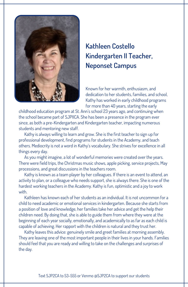

## **Kathleen Costello Kindergarten II Teacher, Neponset Campus**

Known for her warmth, enthusiasm, and dedication to her students, families, and school, Kathy has worked in early childhood programs for more than 40 years, starting the early

childhood education program at St. Ann's school 23 years ago, and continuing when the school became part of SJPIICA. She has been a presence in the program ever since, as both a pre-Kindergarten and Kindergarten teacher, impacting numerous students and mentoring new staff.

Kathy is always willing to learn and grow. She is the first teacher to sign up for professional development, find programs for students in the Academy, and teach others. Mediocrity is not a word in Kathy's vocabulary. She strives for excellence in all things every day.

As you might imagine, a lot of wonderful memories were created over the years. There were field trips, the Christmas music shows, apple picking, service projects, May processions, and great discussions in the teachers room.

Kathy is known as a team player by her colleagues. If there is an event to attend, an activity to plan, or a colleague who needs support, she is always there. She is one of the hardest working teachers in the Academy. Kathy is fun, optimistic and a joy to work with.

Kathleen has known each of her students as an individual. It is not uncommon for a child to need academic or emotional services in kindergarten. Because she starts from a position of love and knowledge, her families take her advice and get the help their children need. By doing that, she is able to guide them from where they were at the beginning of each year socially, emotionally, and academically to as far as each child is capable of achieving. Her rapport with the children is natural and they trust her.

Kathy leaves this advice: genuinely smile and greet families at morning assembly. They are leaving one of the most important people in their lives in your hands. Families should feel that you are ready and willing to take on the challenges and surprises of the day.

Text SJP2CA to 53-555 or Venmo @SJP2CA to support our students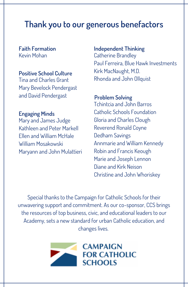# **Thank you to our generous benefactors**

**Faith Formation** Kevin Mohan

#### **Positive School Culture**

Tina and Charles Grant Mary Bevelock Pendergast and David Pendergast

**Engaging Minds** Mary and James Judge Kathleen and Peter Markell Ellen and William McHale William Mosakowski Maryann and John Mulattieri **Independent Thinking** Catherine Brandley Paul Ferreira, Blue Hawk Investments Kirk MacNaught, M.D. Rhonda and John Ollquist

**Problem Solving** Tchintcia and John Barros Catholic Schools Foundation Gloria and Charles Clough Reverend Ronald Coyne Dedham Savings Annmarie and William Kennedy Robin and Francis Keough Marie and Joseph Lennon Diane and Kirk Neison Christine and John Whoriskey

Special thanks to the Campaign for Catholic Schools for their unwavering support and commitment. As our co-sponsor, CCS brings the resources of top business, civic, and educational leaders to our Academy, sets a new standard for urban Catholic education, and changes lives.